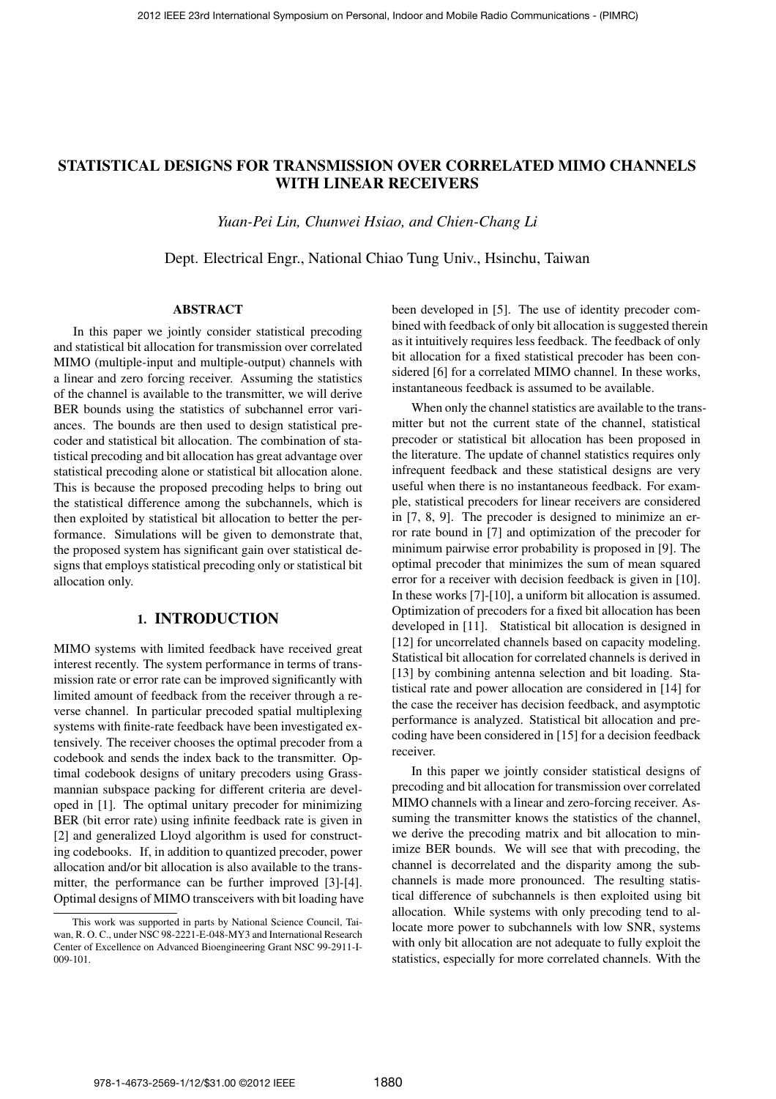# STATISTICAL DESIGNS FOR TRANSMISSION OVER CORRELATED MIMO CHANNELS WITH LINEAR RECEIVERS

*Yuan-Pei Lin, Chunwei Hsiao, and Chien-Chang Li*

Dept. Electrical Engr., National Chiao Tung Univ., Hsinchu, Taiwan

# ABSTRACT

In this paper we jointly consider statistical precoding and statistical bit allocation for transmission over correlated MIMO (multiple-input and multiple-output) channels with a linear and zero forcing receiver. Assuming the statistics of the channel is available to the transmitter, we will derive BER bounds using the statistics of subchannel error variances. The bounds are then used to design statistical precoder and statistical bit allocation. The combination of statistical precoding and bit allocation has great advantage over statistical precoding alone or statistical bit allocation alone. This is because the proposed precoding helps to bring out the statistical difference among the subchannels, which is then exploited by statistical bit allocation to better the performance. Simulations will be given to demonstrate that, the proposed system has significant gain over statistical designs that employs statistical precoding only or statistical bit allocation only.

### 1. INTRODUCTION

MIMO systems with limited feedback have received great interest recently. The system performance in terms of transmission rate or error rate can be improved significantly with limited amount of feedback from the receiver through a reverse channel. In particular precoded spatial multiplexing systems with finite-rate feedback have been investigated extensively. The receiver chooses the optimal precoder from a codebook and sends the index back to the transmitter. Optimal codebook designs of unitary precoders using Grassmannian subspace packing for different criteria are developed in [1]. The optimal unitary precoder for minimizing BER (bit error rate) using infinite feedback rate is given in [2] and generalized Lloyd algorithm is used for constructing codebooks. If, in addition to quantized precoder, power allocation and/or bit allocation is also available to the transmitter, the performance can be further improved [3]-[4]. Optimal designs of MIMO transceivers with bit loading have been developed in [5]. The use of identity precoder combined with feedback of only bit allocation is suggested therein as it intuitively requires less feedback. The feedback of only bit allocation for a fixed statistical precoder has been considered [6] for a correlated MIMO channel. In these works, instantaneous feedback is assumed to be available.

When only the channel statistics are available to the transmitter but not the current state of the channel, statistical precoder or statistical bit allocation has been proposed in the literature. The update of channel statistics requires only infrequent feedback and these statistical designs are very useful when there is no instantaneous feedback. For example, statistical precoders for linear receivers are considered in [7, 8, 9]. The precoder is designed to minimize an error rate bound in [7] and optimization of the precoder for minimum pairwise error probability is proposed in [9]. The optimal precoder that minimizes the sum of mean squared error for a receiver with decision feedback is given in [10]. In these works [7]-[10], a uniform bit allocation is assumed. Optimization of precoders for a fixed bit allocation has been developed in [11]. Statistical bit allocation is designed in [12] for uncorrelated channels based on capacity modeling. Statistical bit allocation for correlated channels is derived in [13] by combining antenna selection and bit loading. Statistical rate and power allocation are considered in [14] for the case the receiver has decision feedback, and asymptotic performance is analyzed. Statistical bit allocation and precoding have been considered in [15] for a decision feedback receiver.

In this paper we jointly consider statistical designs of precoding and bit allocation for transmission over correlated MIMO channels with a linear and zero-forcing receiver. Assuming the transmitter knows the statistics of the channel, we derive the precoding matrix and bit allocation to minimize BER bounds. We will see that with precoding, the channel is decorrelated and the disparity among the subchannels is made more pronounced. The resulting statistical difference of subchannels is then exploited using bit allocation. While systems with only precoding tend to allocate more power to subchannels with low SNR, systems with only bit allocation are not adequate to fully exploit the statistics, especially for more correlated channels. With the

This work was supported in parts by National Science Council, Taiwan, R. O. C., under NSC 98-2221-E-048-MY3 and International Research Center of Excellence on Advanced Bioengineering Grant NSC 99-2911-I-009-101.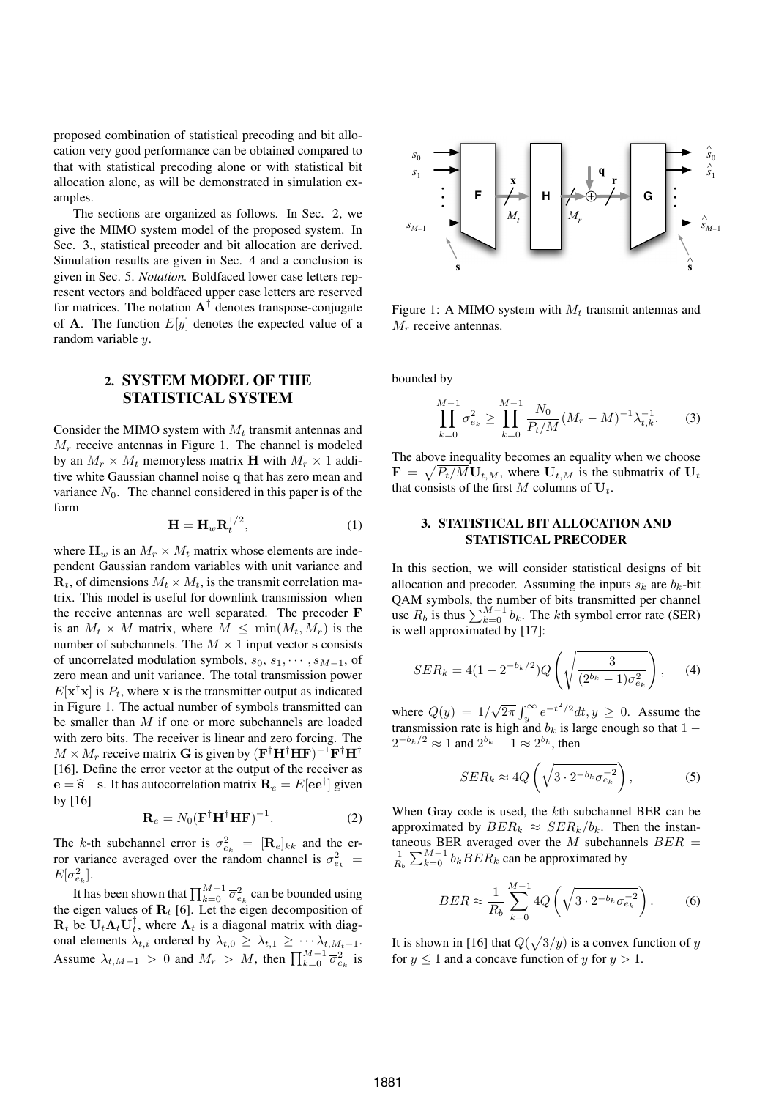proposed combination of statistical precoding and bit allocation very good performance can be obtained compared to that with statistical precoding alone or with statistical bit allocation alone, as will be demonstrated in simulation examples.

The sections are organized as follows. In Sec. 2, we give the MIMO system model of the proposed system. In Sec. 3., statistical precoder and bit allocation are derived. Simulation results are given in Sec. 4 and a conclusion is given in Sec. 5. *Notation.* Boldfaced lower case letters represent vectors and boldfaced upper case letters are reserved for matrices. The notation  $A^{\dagger}$  denotes transpose-conjugate of **A**. The function  $E[y]$  denotes the expected value of a random variable y.

# 2. SYSTEM MODEL OF THE STATISTICAL SYSTEM

Consider the MIMO system with  $M_t$  transmit antennas and  $M_r$  receive antennas in Figure 1. The channel is modeled by an  $M_r \times M_t$  memoryless matrix **H** with  $M_r \times 1$  additive white Gaussian channel noise **q** that has zero mean and variance  $N_0$ . The channel considered in this paper is of the form

$$
\mathbf{H} = \mathbf{H}_w \mathbf{R}_t^{1/2},\tag{1}
$$

where  $\mathbf{H}_w$  is an  $M_r \times M_t$  matrix whose elements are independent Gaussian random variables with unit variance and  $\mathbf{R}_t$ , of dimensions  $M_t \times M_t$ , is the transmit correlation matrix. This model is useful for downlink transmission when the receive antennas are well separated. The precoder **F** is an  $M_t \times M$  matrix, where  $M \leq \min(M_t, M_r)$  is the number of subchannels. The  $M \times 1$  input vector **s** consists of uncorrelated modulation symbols,  $s_0, s_1, \cdots, s_{M-1}$ , of zero mean and unit variance. The total transmission power  $E[\mathbf{x}^{\dagger}\mathbf{x}]$  is  $P_t$ , where **x** is the transmitter output as indicated in Figure 1. The actual number of symbols transmitted can be smaller than M if one or more subchannels are loaded with zero bits. The receiver is linear and zero forcing. The  $M \times M_r$  receive matrix **G** is given by  $(\mathbf{F}^\dagger \mathbf{H}^\dagger \mathbf{H} \mathbf{F})^{-1} \mathbf{F}^\dagger \mathbf{H}^\dagger$ [16]. Define the error vector at the output of the receiver as  $\mathbf{e} = \hat{\mathbf{s}} - \mathbf{s}$ . It has autocorrelation matrix  $\mathbf{R}_e = E[\mathbf{e}\mathbf{e}^\dagger]$  given by [16] by  $[16]$ 

$$
\mathbf{R}_e = N_0 (\mathbf{F}^\dagger \mathbf{H}^\dagger \mathbf{H} \mathbf{F})^{-1}.
$$
 (2)

The k-th subchannel error is  $\sigma_{e_k}^2 = [\mathbf{R}_e]_{kk}$  and the error variance averaged over the random channel is  $\overline{\sigma}_e^2$ ror variance averaged over the random channel is  $\overline{\sigma}_{e_k}^2 = E[\sigma^2]$  $E[\sigma_{e_k}^2].$ 

It has been shown that  $\prod_{k=0}^{M-1} \overline{\sigma}_{e_k}^2$  can be bounded using the eigen values of  $\mathbf{R}_t$  [6]. Let the eigen decomposition of **R**<sub>t</sub> be  $\mathbf{U}_t \Lambda_t \mathbf{U}_t^{\dagger}$ , where  $\Lambda_t$  is a diagonal matrix with diagonal elements  $\lambda_{t,i}$  ordered by  $\lambda_{t,0} \geq \lambda_{t,1} \geq \cdots \lambda_{t,M_t-1}$ . Assume  $\lambda_{t,M-1} > 0$  and  $M_r > M$ , then  $\prod_{k=0}^{M-1} \overline{\sigma}_{e_k}^2$  is



Figure 1: A MIMO system with  $M_t$  transmit antennas and  $M_r$  receive antennas.

bounded by

$$
\prod_{k=0}^{M-1} \overline{\sigma}_{e_k}^2 \ge \prod_{k=0}^{M-1} \frac{N_0}{P_t/M} (M_r - M)^{-1} \lambda_{t,k}^{-1}.
$$
 (3)

The above inequality becomes an equality when we choose  $\mathbf{F} = \sqrt{P_t/M}\mathbf{U}_{t,M}$ , where  $\mathbf{U}_{t,M}$  is the submatrix of  $\mathbf{U}_t$ that consists of the first  $M$  columns of  $U_t$ .

## 3. STATISTICAL BIT ALLOCATION AND STATISTICAL PRECODER

In this section, we will consider statistical designs of bit allocation and precoder. Assuming the inputs  $s_k$  are  $b_k$ -bit QAM symbols, the number of bits transmitted per channel use  $R_b$  is thus  $\sum_{k=0}^{M-1} b_k$ . The kth symbol error rate (SER) is well approximated by [17]:

$$
SER_k = 4(1 - 2^{-b_k/2})Q\left(\sqrt{\frac{3}{(2^{b_k} - 1)\sigma_{e_k}^2}}\right), \quad (4)
$$

where  $Q(y) = 1/\sqrt{2\pi} \int_{y}^{\infty} e^{-t^2/2} dt, y \ge 0$ . Assume the transmission rate is high and by is large enough so that 1 transmission rate is high and  $b_k$  is large enough so that  $1 - 2^{-b_k/2} \approx 1$  and  $2^{b_k} - 1 \approx 2^{b_k}$  then  $2^{-b_k/2} \approx 1$  and  $2^{b_k} - 1 \approx 2^{b_k}$ , then

$$
SER_k \approx 4Q\left(\sqrt{3\cdot 2^{-b_k}\sigma_{e_k}^{-2}}\right),\tag{5}
$$

When Gray code is used, the kth subchannel BER can be approximated by  $BER_k \approx SER_k/b_k$ . Then the instantaneous BER averaged over the  $M$  subchannels  $BER =$  $\frac{1}{R_b} \sum_{k=0}^{M-1} b_k BER_k$  can be approximated by

$$
BER \approx \frac{1}{R_b} \sum_{k=0}^{M-1} 4Q\left(\sqrt{3 \cdot 2^{-b_k} \sigma_{e_k}^{-2}}\right).
$$
 (6)

It is shown in [16] that  $Q(\sqrt{3/y})$  is a convex function of y<br>for  $y \le 1$  and a concave function of y for  $y > 1$ for  $y \le 1$  and a concave function of y for  $y > 1$ .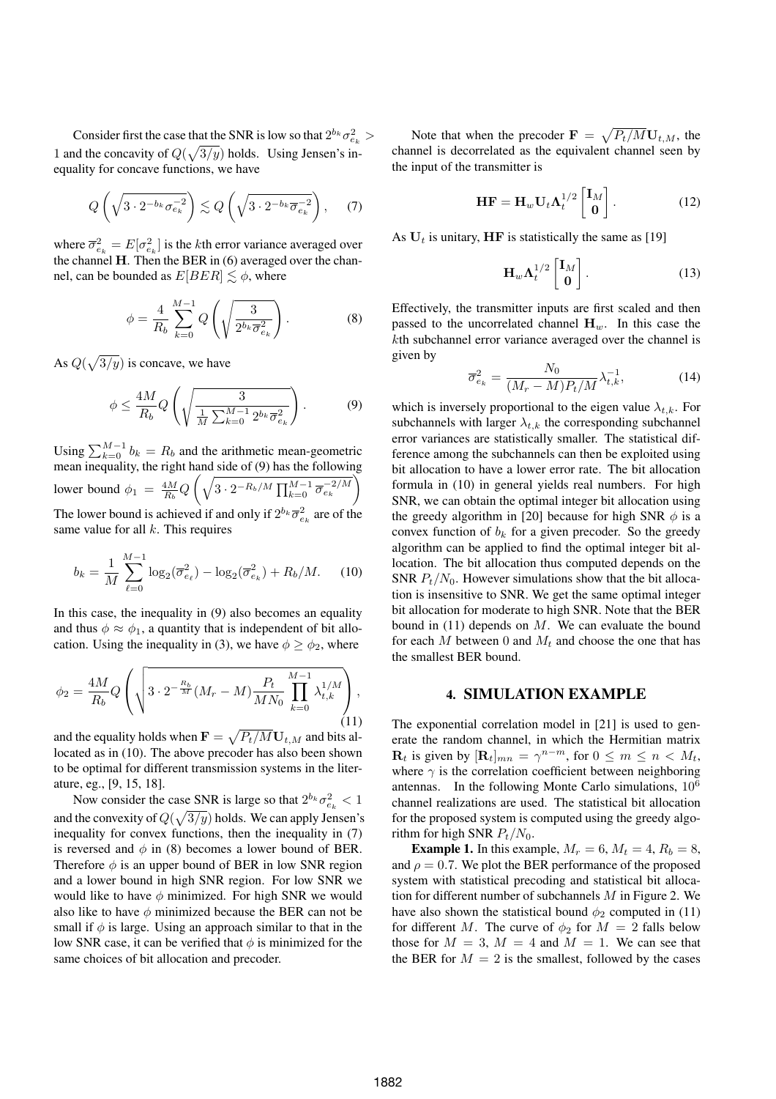Consider first the case that the SNR is low so that  $2^{b_k} \sigma_{e_k}^2 >$ 1 and the concavity of  $Q(\sqrt{3/y})$  holds. Using Jensen's in-<br>equality for concave functions, we have equality for concave functions, we have

$$
Q\left(\sqrt{3\cdot 2^{-b_k}\sigma_{e_k}^{-2}}\right) \lesssim Q\left(\sqrt{3\cdot 2^{-b_k}\overline{\sigma}_{e_k}^{-2}}\right),\quad (7)
$$

where  $\overline{\sigma}_{e_k}^2 = E[\sigma_{e_k}^2]$  is the *k*th error variance averaged over<br>the channel **H**. Then the BER in (6) averaged over the chanthe channel **H**. Then the BER in (6) averaged over the channel, can be bounded as  $E[BER] \lesssim \phi$ , where

$$
\phi = \frac{4}{R_b} \sum_{k=0}^{M-1} Q\left(\sqrt{\frac{3}{2^{b_k} \overline{\sigma}_{e_k}^2}}\right).
$$
 (8)

As  $Q(\sqrt{3/y})$  is concave, we have

$$
\phi \le \frac{4M}{R_b} Q\left(\sqrt{\frac{3}{\frac{1}{M}\sum_{k=0}^{M-1} 2^{b_k} \overline{\sigma}_{e_k}^2}}\right).
$$
 (9)

Using  $\sum_{k=0}^{M-1} b_k = R_b$  and the arithmetic mean-geometric mean inequality, the right hand side of (9) has the following lower bound  $\phi_1 = \frac{4M}{R_b} Q\left(\sqrt{3 \cdot 2^{-R_b/M} \prod_{k=0}^{M-1} \overline{\sigma}_{e_k}^{-2/M}}\right)$ The lower bound is achieved if and only if  $2^{b_k} \overline{\sigma}_{e_k}^2$  are of the same value for all k. This requires same value for all  $k$ . This requires

$$
b_k = \frac{1}{M} \sum_{\ell=0}^{M-1} \log_2(\overline{\sigma}_{e_{\ell}}^2) - \log_2(\overline{\sigma}_{e_k}^2) + R_b/M.
$$
 (10)

In this case, the inequality in (9) also becomes an equality and thus  $\phi \approx \phi_1$ , a quantity that is independent of bit allocation. Using the inequality in (3), we have  $\phi \ge \phi_2$ , where

$$
\phi_2 = \frac{4M}{R_b} Q \left( \sqrt{3 \cdot 2^{-\frac{R_b}{M}} (M_r - M) \frac{P_t}{MN_0} \prod_{k=0}^{M-1} \lambda_{t,k}^{1/M}} \right),\tag{11}
$$

and the equality holds when  $\mathbf{F} = \sqrt{P_t/M}\mathbf{U}_{t,M}$  and bits allocated as in (10). The above precoder has also been shown to be optimal for different transmission systems in the literature, eg., [9, 15, 18].

Now consider the case SNR is large so that  $2^{b_k} \sigma_{e_k}^2 < 1$ <br>the convenition of  $O(\sqrt{2L})$  halds. We see a subject the set of and the convexity of  $Q(\sqrt{3/y})$  holds. We can apply Jensen's<br>inequality for convex functions, then the inequality in (7) inequality for convex functions, then the inequality in (7) is reversed and  $\phi$  in (8) becomes a lower bound of BER. Therefore  $\phi$  is an upper bound of BER in low SNR region and a lower bound in high SNR region. For low SNR we would like to have  $\phi$  minimized. For high SNR we would also like to have  $\phi$  minimized because the BER can not be small if  $\phi$  is large. Using an approach similar to that in the low SNR case, it can be verified that  $\phi$  is minimized for the same choices of bit allocation and precoder.

Note that when the precoder  $\mathbf{F} = \sqrt{P_t/M}\mathbf{U}_{t,M}$ , the channel is decorrelated as the equivalent channel seen by the input of the transmitter is

$$
\mathbf{H}\mathbf{F} = \mathbf{H}_w \mathbf{U}_t \mathbf{\Lambda}_t^{1/2} \begin{bmatrix} \mathbf{I}_M \\ \mathbf{0} \end{bmatrix} . \tag{12}
$$

As  $U_t$  is unitary,  $HF$  is statistically the same as [19]

$$
\mathbf{H}_{w} \Lambda_{t}^{1/2} \begin{bmatrix} \mathbf{I}_{M} \\ \mathbf{0} \end{bmatrix} . \tag{13}
$$

Effectively, the transmitter inputs are first scaled and then passed to the uncorrelated channel  $\mathbf{H}_w$ . In this case the kth subchannel error variance averaged over the channel is given by

$$
\overline{\sigma}_{e_k}^2 = \frac{N_0}{(M_r - M)P_t/M} \lambda_{t,k}^{-1},\tag{14}
$$

which is inversely proportional to the eigen value  $\lambda_{t,k}$ . For subchannels with larger  $\lambda_{t,k}$  the corresponding subchannel error variances are statistically smaller. The statistical difference among the subchannels can then be exploited using bit allocation to have a lower error rate. The bit allocation formula in (10) in general yields real numbers. For high SNR, we can obtain the optimal integer bit allocation using the greedy algorithm in [20] because for high SNR  $\phi$  is a convex function of  $b_k$  for a given precoder. So the greedy algorithm can be applied to find the optimal integer bit allocation. The bit allocation thus computed depends on the SNR  $P_t/N_0$ . However simulations show that the bit allocation is insensitive to SNR. We get the same optimal integer bit allocation for moderate to high SNR. Note that the BER bound in  $(11)$  depends on M. We can evaluate the bound for each M between 0 and  $M_t$  and choose the one that has the smallest BER bound.

#### 4. SIMULATION EXAMPLE

The exponential correlation model in [21] is used to generate the random channel, in which the Hermitian matrix  $\mathbf{R}_t$  is given by  $[\mathbf{R}_t]_{mn} = \gamma^{n-m}$ , for  $0 \leq m \leq n < M_t$ , where  $\gamma$  is the correlation coefficient between neighboring antennas. In the following Monte Carlo simulations,  $10^6$ channel realizations are used. The statistical bit allocation for the proposed system is computed using the greedy algorithm for high SNR  $P_t/N_0$ .

**Example 1.** In this example,  $M_r = 6$ ,  $M_t = 4$ ,  $R_b = 8$ , and  $\rho = 0.7$ . We plot the BER performance of the proposed system with statistical precoding and statistical bit allocation for different number of subchannels M in Figure 2. We have also shown the statistical bound  $\phi_2$  computed in (11) for different M. The curve of  $\phi_2$  for  $M = 2$  falls below those for  $M = 3$ ,  $M = 4$  and  $M = 1$ . We can see that the BER for  $M = 2$  is the smallest, followed by the cases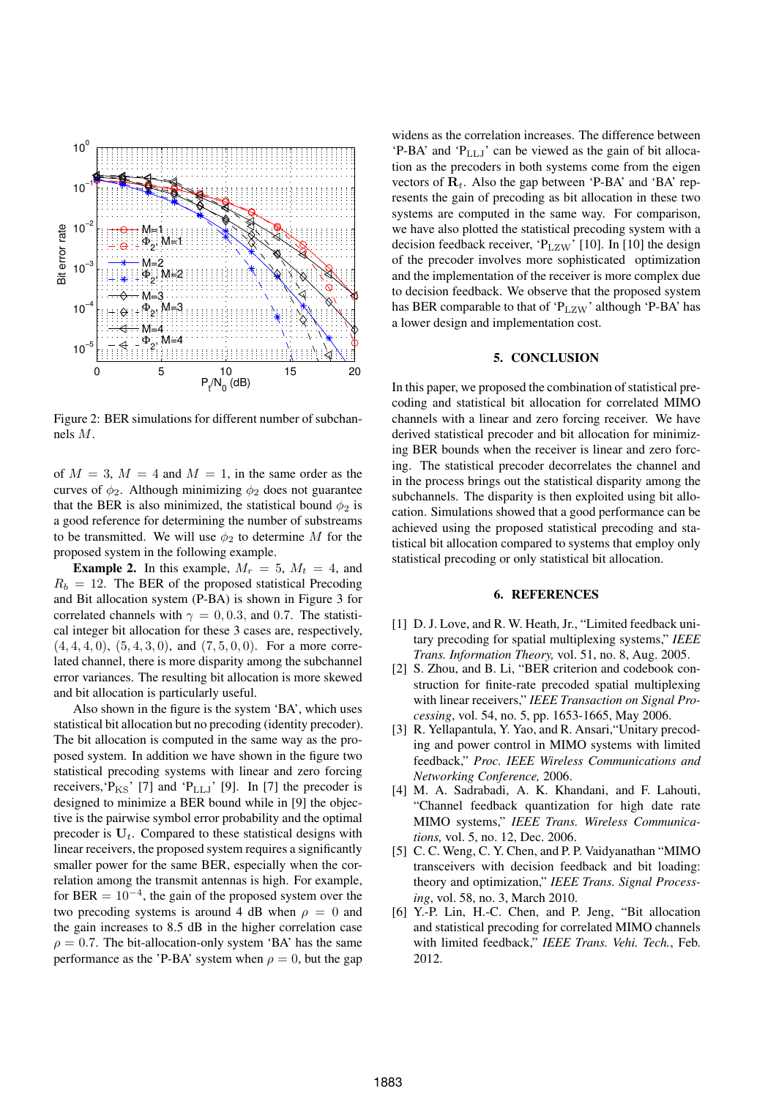

Figure 2: BER simulations for different number of subchannels M.

of  $M = 3$ ,  $M = 4$  and  $M = 1$ , in the same order as the curves of  $\phi_2$ . Although minimizing  $\phi_2$  does not guarantee that the BER is also minimized, the statistical bound  $\phi_2$  is a good reference for determining the number of substreams to be transmitted. We will use  $\phi_2$  to determine M for the proposed system in the following example.

**Example 2.** In this example,  $M_r = 5$ ,  $M_t = 4$ , and  $R_b = 12$ . The BER of the proposed statistical Precoding and Bit allocation system (P-BA) is shown in Figure 3 for correlated channels with  $\gamma = 0, 0.3$ , and 0.7. The statistical integer bit allocation for these 3 cases are, respectively,  $(4, 4, 4, 0), (5, 4, 3, 0),$  and  $(7, 5, 0, 0)$ . For a more correlated channel, there is more disparity among the subchannel error variances. The resulting bit allocation is more skewed and bit allocation is particularly useful.

Also shown in the figure is the system 'BA', which uses statistical bit allocation but no precoding (identity precoder). The bit allocation is computed in the same way as the proposed system. In addition we have shown in the figure two statistical precoding systems with linear and zero forcing receivers,  $P_{KS}$ ' [7] and ' $P_{LL}$ ' [9]. In [7] the precoder is designed to minimize a BER bound while in [9] the objective is the pairwise symbol error probability and the optimal precoder is  $U_t$ . Compared to these statistical designs with linear receivers, the proposed system requires a significantly smaller power for the same BER, especially when the correlation among the transmit antennas is high. For example, for BER =  $10^{-4}$ , the gain of the proposed system over the two precoding systems is around 4 dB when  $\rho = 0$  and the gain increases to 8.5 dB in the higher correlation case  $\rho = 0.7$ . The bit-allocation-only system 'BA' has the same performance as the 'P-BA' system when  $\rho = 0$ , but the gap

widens as the correlation increases. The difference between 'P-BA' and 'PLLJ' can be viewed as the gain of bit allocation as the precoders in both systems come from the eigen vectors of  $\mathbf{R}_t$ . Also the gap between 'P-BA' and 'BA' represents the gain of precoding as bit allocation in these two systems are computed in the same way. For comparison, we have also plotted the statistical precoding system with a decision feedback receiver, ' $P_{LZW}$ ' [10]. In [10] the design of the precoder involves more sophisticated optimization and the implementation of the receiver is more complex due to decision feedback. We observe that the proposed system has BER comparable to that of  $P_{LZW}$ ' although 'P-BA' has a lower design and implementation cost.

#### 5. CONCLUSION

In this paper, we proposed the combination of statistical precoding and statistical bit allocation for correlated MIMO channels with a linear and zero forcing receiver. We have derived statistical precoder and bit allocation for minimizing BER bounds when the receiver is linear and zero forcing. The statistical precoder decorrelates the channel and in the process brings out the statistical disparity among the subchannels. The disparity is then exploited using bit allocation. Simulations showed that a good performance can be achieved using the proposed statistical precoding and statistical bit allocation compared to systems that employ only statistical precoding or only statistical bit allocation.

### 6. REFERENCES

- [1] D. J. Love, and R. W. Heath, Jr., "Limited feedback unitary precoding for spatial multiplexing systems," *IEEE Trans. Information Theory,* vol. 51, no. 8, Aug. 2005.
- [2] S. Zhou, and B. Li, "BER criterion and codebook construction for finite-rate precoded spatial multiplexing with linear receivers," *IEEE Transaction on Signal Processing*, vol. 54, no. 5, pp. 1653-1665, May 2006.
- [3] R. Yellapantula, Y. Yao, and R. Ansari,"Unitary precoding and power control in MIMO systems with limited feedback," *Proc. IEEE Wireless Communications and Networking Conference,* 2006.
- [4] M. A. Sadrabadi, A. K. Khandani, and F. Lahouti, "Channel feedback quantization for high date rate MIMO systems," *IEEE Trans. Wireless Communications,* vol. 5, no. 12, Dec. 2006.
- [5] C. C. Weng, C. Y. Chen, and P. P. Vaidyanathan "MIMO transceivers with decision feedback and bit loading: theory and optimization," *IEEE Trans. Signal Processing*, vol. 58, no. 3, March 2010.
- [6] Y.-P. Lin, H.-C. Chen, and P. Jeng, "Bit allocation and statistical precoding for correlated MIMO channels with limited feedback," *IEEE Trans. Vehi. Tech.*, Feb. 2012.